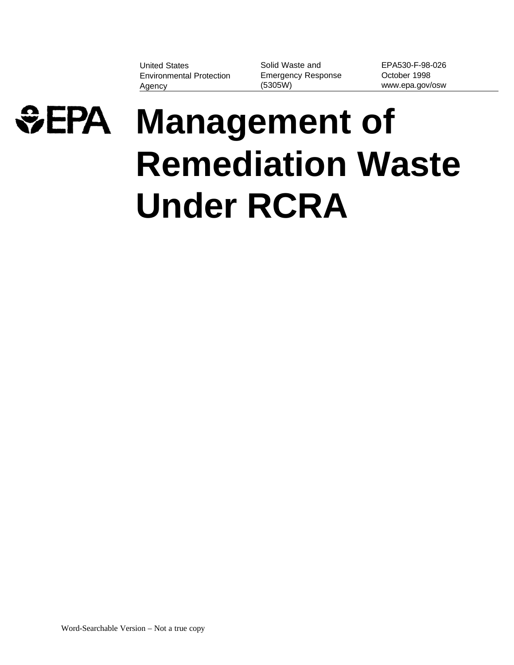United States Solid Waste and Environmental Protection Emergency Response October 1998 Agency (5305W) www.epa.gov/osw

EPA530-F-98-026



# **Management of Remediation Waste Under RCRA**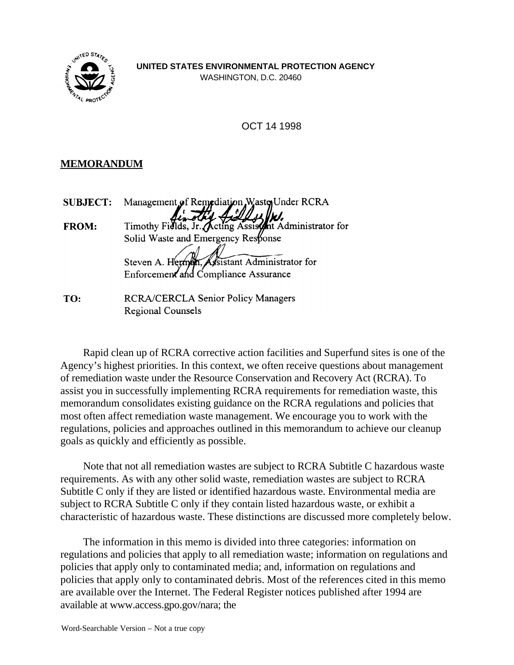

OCT 14 1998

# **MEMORANDUM**

| <b>SUBJECT:</b> | Management of Remediation Waster Under RCRA            |
|-----------------|--------------------------------------------------------|
| FROM:           | Timothy Fields, Jr. Acting Assistant Administrator for |
|                 | Solid Waste and Emergency Response                     |
|                 | Steven A. Hermen, Assistant Administrator for          |
|                 | Enforcement and Compliance Assurance                   |
| TO:             | <b>RCRA/CERCLA Senior Policy Managers</b>              |
|                 | <b>Regional Counsels</b>                               |

Rapid clean up of RCRA corrective action facilities and Superfund sites is one of the Agency's highest priorities. In this context, we often receive questions about management of remediation waste under the Resource Conservation and Recovery Act (RCRA). To assist you in successfully implementing RCRA requirements for remediation waste, this memorandum consolidates existing guidance on the RCRA regulations and policies that most often affect remediation waste management. We encourage you to work with the regulations, policies and approaches outlined in this memorandum to achieve our cleanup goals as quickly and efficiently as possible.

Note that not all remediation wastes are subject to RCRA Subtitle C hazardous waste requirements. As with any other solid waste, remediation wastes are subject to RCRA Subtitle C only if they are listed or identified hazardous waste. Environmental media are subject to RCRA Subtitle C only if they contain listed hazardous waste, or exhibit a characteristic of hazardous waste. These distinctions are discussed more completely below.

The information in this memo is divided into three categories: information on regulations and policies that apply to all remediation waste; information on regulations and policies that apply only to contaminated media; and, information on regulations and policies that apply only to contaminated debris. Most of the references cited in this memo are available over the Internet. The Federal Register notices published after 1994 are available at www.access.gpo.gov/nara; the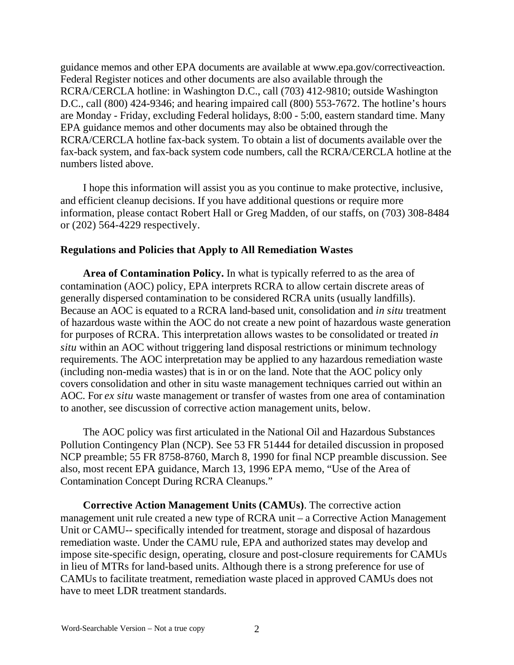guidance memos and other EPA documents are available at www.epa.gov/correctiveaction. Federal Register notices and other documents are also available through the RCRA/CERCLA hotline: in Washington D.C., call (703) 412-9810; outside Washington D.C., call (800) 424-9346; and hearing impaired call (800) 553-7672. The hotline's hours are Monday - Friday, excluding Federal holidays, 8:00 - 5:00, eastern standard time. Many EPA guidance memos and other documents may also be obtained through the RCRA/CERCLA hotline fax-back system. To obtain a list of documents available over the fax-back system, and fax-back system code numbers, call the RCRA/CERCLA hotline at the numbers listed above.

I hope this information will assist you as you continue to make protective, inclusive, and efficient cleanup decisions. If you have additional questions or require more information, please contact Robert Hall or Greg Madden, of our staffs, on (703) 308-8484 or (202) 564-4229 respectively.

#### **Regulations and Policies that Apply to All Remediation Wastes**

**Area of Contamination Policy.** In what is typically referred to as the area of contamination (AOC) policy, EPA interprets RCRA to allow certain discrete areas of generally dispersed contamination to be considered RCRA units (usually landfills). Because an AOC is equated to a RCRA land-based unit, consolidation and *in situ* treatment of hazardous waste within the AOC do not create a new point of hazardous waste generation for purposes of RCRA. This interpretation allows wastes to be consolidated or treated *in situ* within an AOC without triggering land disposal restrictions or minimum technology requirements. The AOC interpretation may be applied to any hazardous remediation waste (including non-media wastes) that is in or on the land. Note that the AOC policy only covers consolidation and other in situ waste management techniques carried out within an AOC. For *ex situ* waste management or transfer of wastes from one area of contamination to another, see discussion of corrective action management units, below.

The AOC policy was first articulated in the National Oil and Hazardous Substances Pollution Contingency Plan (NCP). See 53 FR 51444 for detailed discussion in proposed NCP preamble; 55 FR 8758-8760, March 8, 1990 for final NCP preamble discussion. See also, most recent EPA guidance, March 13, 1996 EPA memo, "Use of the Area of Contamination Concept During RCRA Cleanups."

**Corrective Action Management Units (CAMUs)**. The corrective action management unit rule created a new type of RCRA unit – a Corrective Action Management Unit or CAMU-- specifically intended for treatment, storage and disposal of hazardous remediation waste. Under the CAMU rule, EPA and authorized states may develop and impose site-specific design, operating, closure and post-closure requirements for CAMUs in lieu of MTRs for land-based units. Although there is a strong preference for use of CAMUs to facilitate treatment, remediation waste placed in approved CAMUs does not have to meet LDR treatment standards.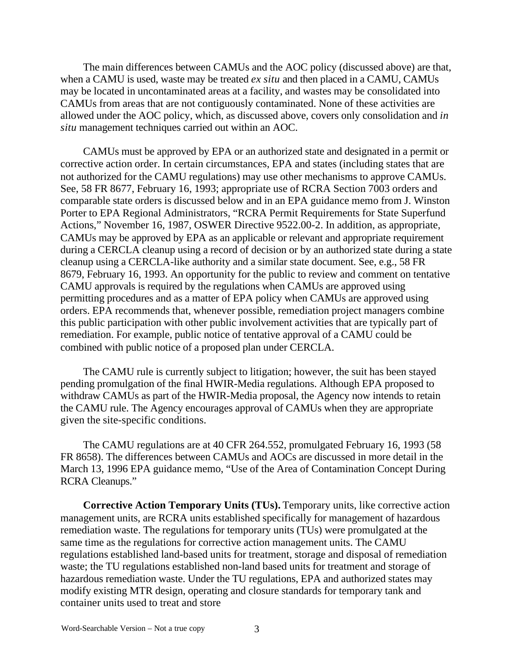The main differences between CAMUs and the AOC policy (discussed above) are that, when a CAMU is used, waste may be treated *ex situ* and then placed in a CAMU, CAMUs may be located in uncontaminated areas at a facility, and wastes may be consolidated into CAMUs from areas that are not contiguously contaminated. None of these activities are allowed under the AOC policy, which, as discussed above, covers only consolidation and *in situ* management techniques carried out within an AOC.

CAMUs must be approved by EPA or an authorized state and designated in a permit or corrective action order. In certain circumstances, EPA and states (including states that are not authorized for the CAMU regulations) may use other mechanisms to approve CAMUs. See, 58 FR 8677, February 16, 1993; appropriate use of RCRA Section 7003 orders and comparable state orders is discussed below and in an EPA guidance memo from J. Winston Porter to EPA Regional Administrators, "RCRA Permit Requirements for State Superfund Actions," November 16, 1987, OSWER Directive 9522.00-2. In addition, as appropriate, CAMUs may be approved by EPA as an applicable or relevant and appropriate requirement during a CERCLA cleanup using a record of decision or by an authorized state during a state cleanup using a CERCLA-like authority and a similar state document. See, e.g., 58 FR 8679, February 16, 1993. An opportunity for the public to review and comment on tentative CAMU approvals is required by the regulations when CAMUs are approved using permitting procedures and as a matter of EPA policy when CAMUs are approved using orders. EPA recommends that, whenever possible, remediation project managers combine this public participation with other public involvement activities that are typically part of remediation. For example, public notice of tentative approval of a CAMU could be combined with public notice of a proposed plan under CERCLA.

The CAMU rule is currently subject to litigation; however, the suit has been stayed pending promulgation of the final HWIR-Media regulations. Although EPA proposed to withdraw CAMUs as part of the HWIR-Media proposal, the Agency now intends to retain the CAMU rule. The Agency encourages approval of CAMUs when they are appropriate given the site-specific conditions.

The CAMU regulations are at 40 CFR 264.552, promulgated February 16, 1993 (58 FR 8658). The differences between CAMUs and AOCs are discussed in more detail in the March 13, 1996 EPA guidance memo, "Use of the Area of Contamination Concept During RCRA Cleanups."

**Corrective Action Temporary Units (TUs).** Temporary units, like corrective action management units, are RCRA units established specifically for management of hazardous remediation waste. The regulations for temporary units (TUs) were promulgated at the same time as the regulations for corrective action management units. The CAMU regulations established land-based units for treatment, storage and disposal of remediation waste; the TU regulations established non-land based units for treatment and storage of hazardous remediation waste. Under the TU regulations, EPA and authorized states may modify existing MTR design, operating and closure standards for temporary tank and container units used to treat and store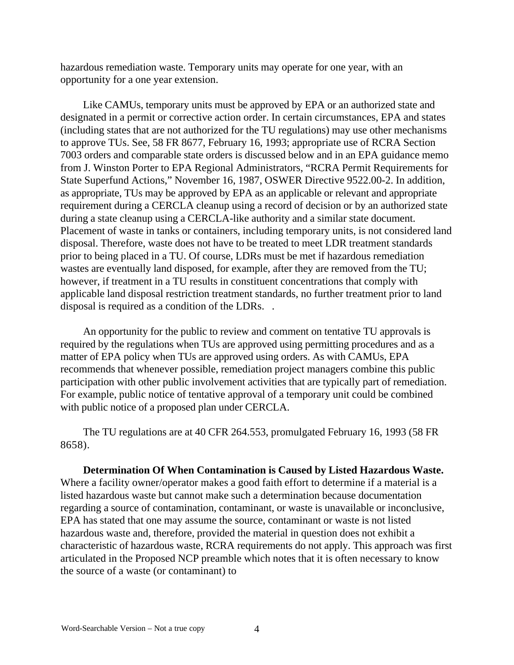hazardous remediation waste. Temporary units may operate for one year, with an opportunity for a one year extension.

Like CAMUs, temporary units must be approved by EPA or an authorized state and designated in a permit or corrective action order. In certain circumstances, EPA and states (including states that are not authorized for the TU regulations) may use other mechanisms to approve TUs. See, 58 FR 8677, February 16, 1993; appropriate use of RCRA Section 7003 orders and comparable state orders is discussed below and in an EPA guidance memo from J. Winston Porter to EPA Regional Administrators, "RCRA Permit Requirements for State Superfund Actions," November 16, 1987, OSWER Directive 9522.00-2. In addition, as appropriate, TUs may be approved by EPA as an applicable or relevant and appropriate requirement during a CERCLA cleanup using a record of decision or by an authorized state during a state cleanup using a CERCLA-like authority and a similar state document. Placement of waste in tanks or containers, including temporary units, is not considered land disposal. Therefore, waste does not have to be treated to meet LDR treatment standards prior to being placed in a TU. Of course, LDRs must be met if hazardous remediation wastes are eventually land disposed, for example, after they are removed from the TU; however, if treatment in a TU results in constituent concentrations that comply with applicable land disposal restriction treatment standards, no further treatment prior to land disposal is required as a condition of the LDRs. .

An opportunity for the public to review and comment on tentative TU approvals is required by the regulations when TUs are approved using permitting procedures and as a matter of EPA policy when TUs are approved using orders. As with CAMUs, EPA recommends that whenever possible, remediation project managers combine this public participation with other public involvement activities that are typically part of remediation. For example, public notice of tentative approval of a temporary unit could be combined with public notice of a proposed plan under CERCLA.

The TU regulations are at 40 CFR 264.553, promulgated February 16, 1993 (58 FR 8658).

**Determination Of When Contamination is Caused by Listed Hazardous Waste.**  Where a facility owner/operator makes a good faith effort to determine if a material is a listed hazardous waste but cannot make such a determination because documentation regarding a source of contamination, contaminant, or waste is unavailable or inconclusive, EPA has stated that one may assume the source, contaminant or waste is not listed hazardous waste and, therefore, provided the material in question does not exhibit a characteristic of hazardous waste, RCRA requirements do not apply. This approach was first articulated in the Proposed NCP preamble which notes that it is often necessary to know the source of a waste (or contaminant) to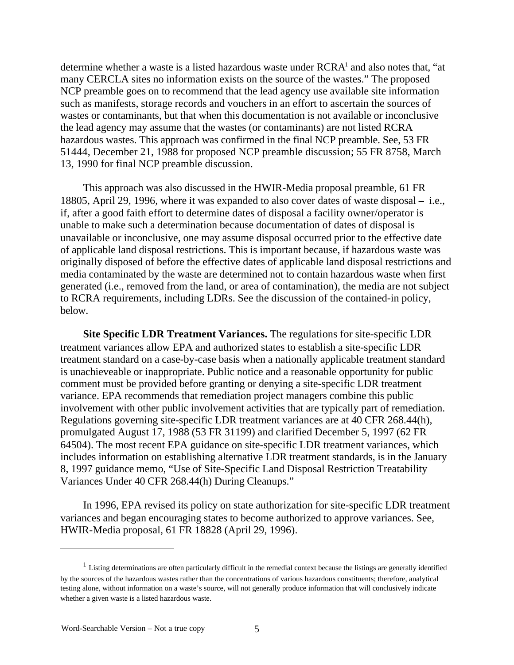determine whether a waste is a listed hazardous waste under RCRA<sup>1</sup> and also notes that, "at many CERCLA sites no information exists on the source of the wastes." The proposed NCP preamble goes on to recommend that the lead agency use available site information such as manifests, storage records and vouchers in an effort to ascertain the sources of wastes or contaminants, but that when this documentation is not available or inconclusive the lead agency may assume that the wastes (or contaminants) are not listed RCRA hazardous wastes. This approach was confirmed in the final NCP preamble. See, 53 FR 51444, December 21, 1988 for proposed NCP preamble discussion; 55 FR 8758, March 13, 1990 for final NCP preamble discussion.

This approach was also discussed in the HWIR-Media proposal preamble, 61 FR 18805, April 29, 1996, where it was expanded to also cover dates of waste disposal – i.e., if, after a good faith effort to determine dates of disposal a facility owner/operator is unable to make such a determination because documentation of dates of disposal is unavailable or inconclusive, one may assume disposal occurred prior to the effective date of applicable land disposal restrictions. This is important because, if hazardous waste was originally disposed of before the effective dates of applicable land disposal restrictions and media contaminated by the waste are determined not to contain hazardous waste when first generated (i.e., removed from the land, or area of contamination), the media are not subject to RCRA requirements, including LDRs. See the discussion of the contained-in policy, below.

**Site Specific LDR Treatment Variances.** The regulations for site-specific LDR treatment variances allow EPA and authorized states to establish a site-specific LDR treatment standard on a case-by-case basis when a nationally applicable treatment standard is unachieveable or inappropriate. Public notice and a reasonable opportunity for public comment must be provided before granting or denying a site-specific LDR treatment variance. EPA recommends that remediation project managers combine this public involvement with other public involvement activities that are typically part of remediation. Regulations governing site-specific LDR treatment variances are at 40 CFR 268.44(h), promulgated August 17, 1988 (53 FR 31199) and clarified December 5, 1997 (62 FR 64504). The most recent EPA guidance on site-specific LDR treatment variances, which includes information on establishing alternative LDR treatment standards, is in the January 8, 1997 guidance memo, "Use of Site-Specific Land Disposal Restriction Treatability Variances Under 40 CFR 268.44(h) During Cleanups."

In 1996, EPA revised its policy on state authorization for site-specific LDR treatment variances and began encouraging states to become authorized to approve variances. See, HWIR-Media proposal, 61 FR 18828 (April 29, 1996).

 $1$  Listing determinations are often particularly difficult in the remedial context because the listings are generally identified by the sources of the hazardous wastes rather than the concentrations of various hazardous constituents; therefore, analytical testing alone, without information on a waste's source, will not generally produce information that will conclusively indicate whether a given waste is a listed hazardous waste.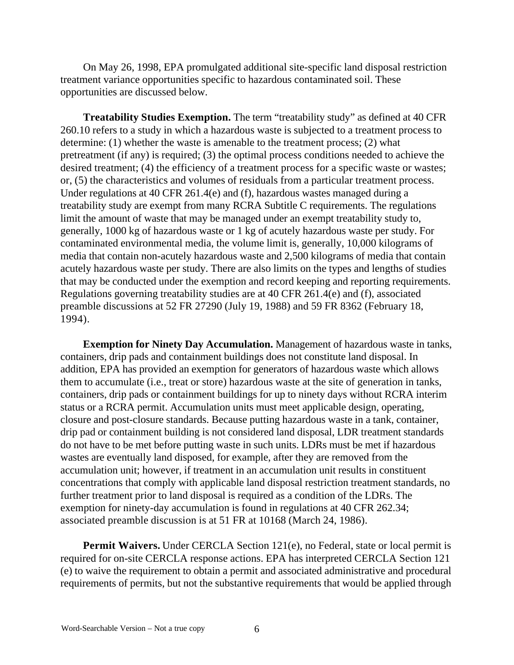On May 26, 1998, EPA promulgated additional site-specific land disposal restriction treatment variance opportunities specific to hazardous contaminated soil. These opportunities are discussed below.

**Treatability Studies Exemption.** The term "treatability study" as defined at 40 CFR 260.10 refers to a study in which a hazardous waste is subjected to a treatment process to determine: (1) whether the waste is amenable to the treatment process; (2) what pretreatment (if any) is required; (3) the optimal process conditions needed to achieve the desired treatment; (4) the efficiency of a treatment process for a specific waste or wastes; or, (5) the characteristics and volumes of residuals from a particular treatment process. Under regulations at 40 CFR 261.4(e) and (f), hazardous wastes managed during a treatability study are exempt from many RCRA Subtitle C requirements. The regulations limit the amount of waste that may be managed under an exempt treatability study to, generally, 1000 kg of hazardous waste or 1 kg of acutely hazardous waste per study. For contaminated environmental media, the volume limit is, generally, 10,000 kilograms of media that contain non-acutely hazardous waste and 2,500 kilograms of media that contain acutely hazardous waste per study. There are also limits on the types and lengths of studies that may be conducted under the exemption and record keeping and reporting requirements. Regulations governing treatability studies are at 40 CFR 261.4(e) and (f), associated preamble discussions at 52 FR 27290 (July 19, 1988) and 59 FR 8362 (February 18, 1994).

**Exemption for Ninety Day Accumulation.** Management of hazardous waste in tanks, containers, drip pads and containment buildings does not constitute land disposal. In addition, EPA has provided an exemption for generators of hazardous waste which allows them to accumulate (i.e., treat or store) hazardous waste at the site of generation in tanks, containers, drip pads or containment buildings for up to ninety days without RCRA interim status or a RCRA permit. Accumulation units must meet applicable design, operating, closure and post-closure standards. Because putting hazardous waste in a tank, container, drip pad or containment building is not considered land disposal, LDR treatment standards do not have to be met before putting waste in such units. LDRs must be met if hazardous wastes are eventually land disposed, for example, after they are removed from the accumulation unit; however, if treatment in an accumulation unit results in constituent concentrations that comply with applicable land disposal restriction treatment standards, no further treatment prior to land disposal is required as a condition of the LDRs. The exemption for ninety-day accumulation is found in regulations at 40 CFR 262.34; associated preamble discussion is at 51 FR at 10168 (March 24, 1986).

**Permit Waivers.** Under CERCLA Section 121(e), no Federal, state or local permit is required for on-site CERCLA response actions. EPA has interpreted CERCLA Section 121 (e) to waive the requirement to obtain a permit and associated administrative and procedural requirements of permits, but not the substantive requirements that would be applied through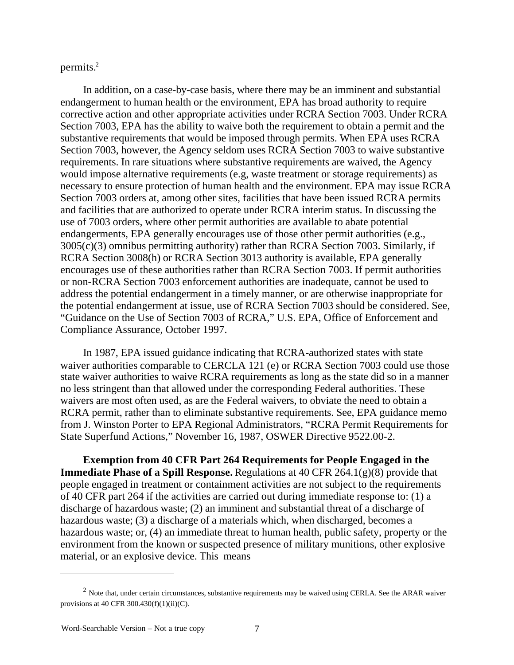permits.2

In addition, on a case-by-case basis, where there may be an imminent and substantial endangerment to human health or the environment, EPA has broad authority to require corrective action and other appropriate activities under RCRA Section 7003. Under RCRA Section 7003, EPA has the ability to waive both the requirement to obtain a permit and the substantive requirements that would be imposed through permits. When EPA uses RCRA Section 7003, however, the Agency seldom uses RCRA Section 7003 to waive substantive requirements. In rare situations where substantive requirements are waived, the Agency would impose alternative requirements (e.g, waste treatment or storage requirements) as necessary to ensure protection of human health and the environment. EPA may issue RCRA Section 7003 orders at, among other sites, facilities that have been issued RCRA permits and facilities that are authorized to operate under RCRA interim status. In discussing the use of 7003 orders, where other permit authorities are available to abate potential endangerments, EPA generally encourages use of those other permit authorities (e.g., 3005(c)(3) omnibus permitting authority) rather than RCRA Section 7003. Similarly, if RCRA Section 3008(h) or RCRA Section 3013 authority is available, EPA generally encourages use of these authorities rather than RCRA Section 7003. If permit authorities or non-RCRA Section 7003 enforcement authorities are inadequate, cannot be used to address the potential endangerment in a timely manner, or are otherwise inappropriate for the potential endangerment at issue, use of RCRA Section 7003 should be considered. See, "Guidance on the Use of Section 7003 of RCRA," U.S. EPA, Office of Enforcement and Compliance Assurance, October 1997.

In 1987, EPA issued guidance indicating that RCRA-authorized states with state waiver authorities comparable to CERCLA 121 (e) or RCRA Section 7003 could use those state waiver authorities to waive RCRA requirements as long as the state did so in a manner no less stringent than that allowed under the corresponding Federal authorities. These waivers are most often used, as are the Federal waivers, to obviate the need to obtain a RCRA permit, rather than to eliminate substantive requirements. See, EPA guidance memo from J. Winston Porter to EPA Regional Administrators, "RCRA Permit Requirements for State Superfund Actions," November 16, 1987, OSWER Directive 9522.00-2.

**Exemption from 40 CFR Part 264 Requirements for People Engaged in the Immediate Phase of a Spill Response.** Regulations at 40 CFR 264.1(g)(8) provide that people engaged in treatment or containment activities are not subject to the requirements of 40 CFR part 264 if the activities are carried out during immediate response to: (1) a discharge of hazardous waste; (2) an imminent and substantial threat of a discharge of hazardous waste; (3) a discharge of a materials which, when discharged, becomes a hazardous waste; or, (4) an immediate threat to human health, public safety, property or the environment from the known or suspected presence of military munitions, other explosive material, or an explosive device. This means

 $2$  Note that, under certain circumstances, substantive requirements may be waived using CERLA. See the ARAR waiver provisions at 40 CFR  $300.430(f)(1)(ii)(C)$ .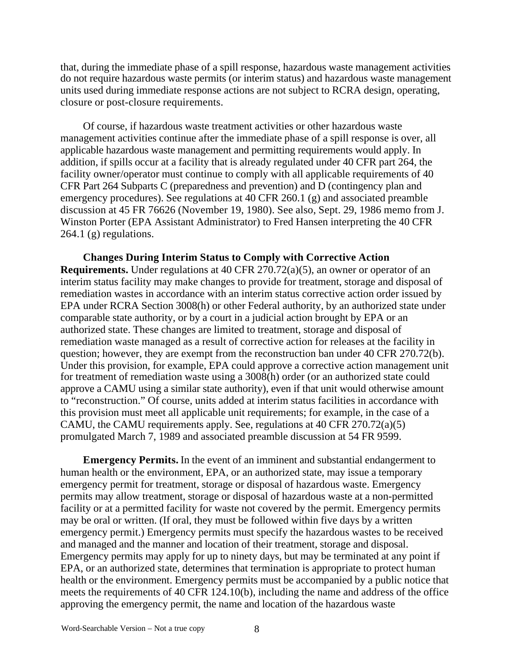that, during the immediate phase of a spill response, hazardous waste management activities do not require hazardous waste permits (or interim status) and hazardous waste management units used during immediate response actions are not subject to RCRA design, operating, closure or post-closure requirements.

Of course, if hazardous waste treatment activities or other hazardous waste management activities continue after the immediate phase of a spill response is over, all applicable hazardous waste management and permitting requirements would apply. In addition, if spills occur at a facility that is already regulated under 40 CFR part 264, the facility owner/operator must continue to comply with all applicable requirements of 40 CFR Part 264 Subparts C (preparedness and prevention) and D (contingency plan and emergency procedures). See regulations at 40 CFR 260.1 (g) and associated preamble discussion at 45 FR 76626 (November 19, 1980). See also, Sept. 29, 1986 memo from J. Winston Porter (EPA Assistant Administrator) to Fred Hansen interpreting the 40 CFR  $264.1$  (g) regulations.

**Changes During Interim Status to Comply with Corrective Action Requirements.** Under regulations at 40 CFR 270.72(a)(5), an owner or operator of an interim status facility may make changes to provide for treatment, storage and disposal of remediation wastes in accordance with an interim status corrective action order issued by EPA under RCRA Section 3008(h) or other Federal authority, by an authorized state under comparable state authority, or by a court in a judicial action brought by EPA or an authorized state. These changes are limited to treatment, storage and disposal of remediation waste managed as a result of corrective action for releases at the facility in question; however, they are exempt from the reconstruction ban under 40 CFR 270.72(b). Under this provision, for example, EPA could approve a corrective action management unit for treatment of remediation waste using a 3008(h) order (or an authorized state could approve a CAMU using a similar state authority), even if that unit would otherwise amount to "reconstruction." Of course, units added at interim status facilities in accordance with this provision must meet all applicable unit requirements; for example, in the case of a CAMU, the CAMU requirements apply. See, regulations at 40 CFR 270.72(a)(5) promulgated March 7, 1989 and associated preamble discussion at 54 FR 9599.

**Emergency Permits.** In the event of an imminent and substantial endangerment to human health or the environment, EPA, or an authorized state, may issue a temporary emergency permit for treatment, storage or disposal of hazardous waste. Emergency permits may allow treatment, storage or disposal of hazardous waste at a non-permitted facility or at a permitted facility for waste not covered by the permit. Emergency permits may be oral or written. (If oral, they must be followed within five days by a written emergency permit.) Emergency permits must specify the hazardous wastes to be received and managed and the manner and location of their treatment, storage and disposal. Emergency permits may apply for up to ninety days, but may be terminated at any point if EPA, or an authorized state, determines that termination is appropriate to protect human health or the environment. Emergency permits must be accompanied by a public notice that meets the requirements of 40 CFR 124.10(b), including the name and address of the office approving the emergency permit, the name and location of the hazardous waste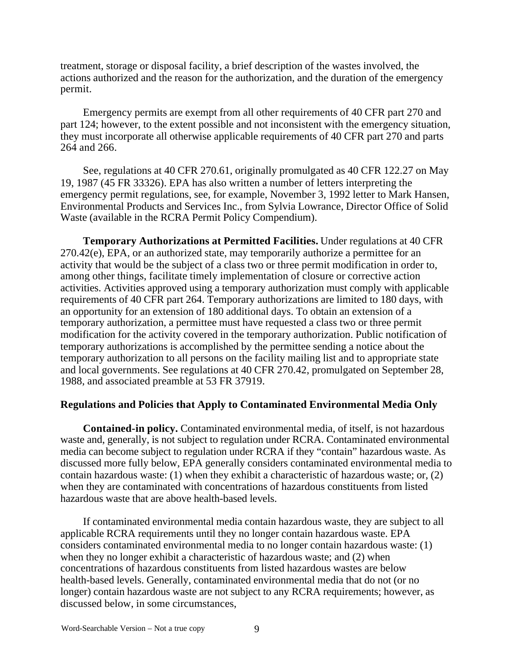treatment, storage or disposal facility, a brief description of the wastes involved, the actions authorized and the reason for the authorization, and the duration of the emergency permit.

Emergency permits are exempt from all other requirements of 40 CFR part 270 and part 124; however, to the extent possible and not inconsistent with the emergency situation, they must incorporate all otherwise applicable requirements of 40 CFR part 270 and parts 264 and 266.

See, regulations at 40 CFR 270.61, originally promulgated as 40 CFR 122.27 on May 19, 1987 (45 FR 33326). EPA has also written a number of letters interpreting the emergency permit regulations, see, for example, November 3, 1992 letter to Mark Hansen, Environmental Products and Services Inc., from Sylvia Lowrance, Director Office of Solid Waste (available in the RCRA Permit Policy Compendium).

**Temporary Authorizations at Permitted Facilities.** Under regulations at 40 CFR 270.42(e), EPA, or an authorized state, may temporarily authorize a permittee for an activity that would be the subject of a class two or three permit modification in order to, among other things, facilitate timely implementation of closure or corrective action activities. Activities approved using a temporary authorization must comply with applicable requirements of 40 CFR part 264. Temporary authorizations are limited to 180 days, with an opportunity for an extension of 180 additional days. To obtain an extension of a temporary authorization, a permittee must have requested a class two or three permit modification for the activity covered in the temporary authorization. Public notification of temporary authorizations is accomplished by the permittee sending a notice about the temporary authorization to all persons on the facility mailing list and to appropriate state and local governments. See regulations at 40 CFR 270.42, promulgated on September 28, 1988, and associated preamble at 53 FR 37919.

### **Regulations and Policies that Apply to Contaminated Environmental Media Only**

**Contained-in policy.** Contaminated environmental media, of itself, is not hazardous waste and, generally, is not subject to regulation under RCRA. Contaminated environmental media can become subject to regulation under RCRA if they "contain" hazardous waste. As discussed more fully below, EPA generally considers contaminated environmental media to contain hazardous waste: (1) when they exhibit a characteristic of hazardous waste; or, (2) when they are contaminated with concentrations of hazardous constituents from listed hazardous waste that are above health-based levels.

If contaminated environmental media contain hazardous waste, they are subject to all applicable RCRA requirements until they no longer contain hazardous waste. EPA considers contaminated environmental media to no longer contain hazardous waste: (1) when they no longer exhibit a characteristic of hazardous waste; and (2) when concentrations of hazardous constituents from listed hazardous wastes are below health-based levels. Generally, contaminated environmental media that do not (or no longer) contain hazardous waste are not subject to any RCRA requirements; however, as discussed below, in some circumstances,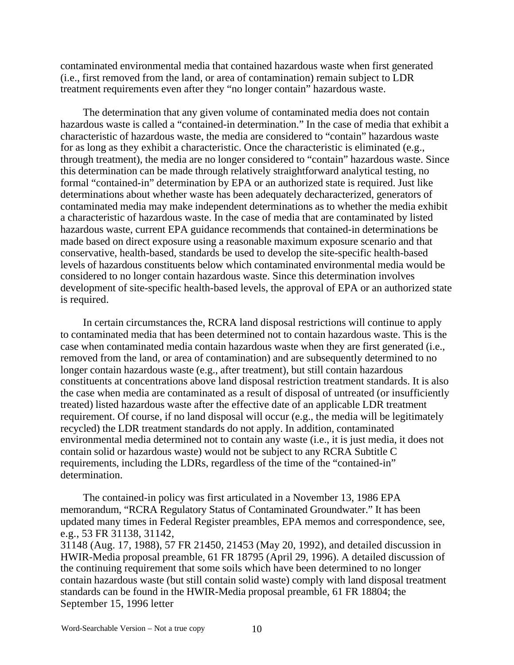contaminated environmental media that contained hazardous waste when first generated (i.e., first removed from the land, or area of contamination) remain subject to LDR treatment requirements even after they "no longer contain" hazardous waste.

The determination that any given volume of contaminated media does not contain hazardous waste is called a "contained-in determination." In the case of media that exhibit a characteristic of hazardous waste, the media are considered to "contain" hazardous waste for as long as they exhibit a characteristic. Once the characteristic is eliminated (e.g., through treatment), the media are no longer considered to "contain" hazardous waste. Since this determination can be made through relatively straightforward analytical testing, no formal "contained-in" determination by EPA or an authorized state is required. Just like determinations about whether waste has been adequately decharacterized, generators of contaminated media may make independent determinations as to whether the media exhibit a characteristic of hazardous waste. In the case of media that are contaminated by listed hazardous waste, current EPA guidance recommends that contained-in determinations be made based on direct exposure using a reasonable maximum exposure scenario and that conservative, health-based, standards be used to develop the site-specific health-based levels of hazardous constituents below which contaminated environmental media would be considered to no longer contain hazardous waste. Since this determination involves development of site-specific health-based levels, the approval of EPA or an authorized state is required.

In certain circumstances the, RCRA land disposal restrictions will continue to apply to contaminated media that has been determined not to contain hazardous waste. This is the case when contaminated media contain hazardous waste when they are first generated (i.e., removed from the land, or area of contamination) and are subsequently determined to no longer contain hazardous waste (e.g., after treatment), but still contain hazardous constituents at concentrations above land disposal restriction treatment standards. It is also the case when media are contaminated as a result of disposal of untreated (or insufficiently treated) listed hazardous waste after the effective date of an applicable LDR treatment requirement. Of course, if no land disposal will occur (e.g., the media will be legitimately recycled) the LDR treatment standards do not apply. In addition, contaminated environmental media determined not to contain any waste (i.e., it is just media, it does not contain solid or hazardous waste) would not be subject to any RCRA Subtitle C requirements, including the LDRs, regardless of the time of the "contained-in" determination.

The contained-in policy was first articulated in a November 13, 1986 EPA memorandum, "RCRA Regulatory Status of Contaminated Groundwater." It has been updated many times in Federal Register preambles, EPA memos and correspondence, see, e.g., 53 FR 31138, 31142, 31148 (Aug. 17, 1988), 57 FR 21450, 21453 (May 20, 1992), and detailed discussion in HWIR-Media proposal preamble, 61 FR 18795 (April 29, 1996). A detailed discussion of the continuing requirement that some soils which have been determined to no longer contain hazardous waste (but still contain solid waste) comply with land disposal treatment standards can be found in the HWIR-Media proposal preamble, 61 FR 18804; the September 15, 1996 letter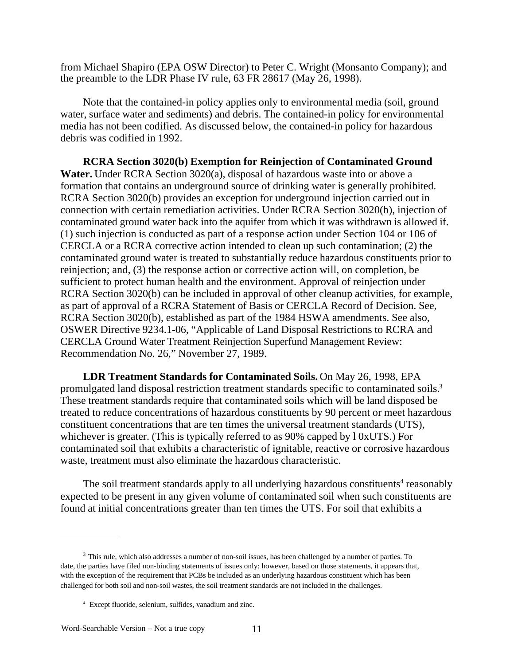from Michael Shapiro (EPA OSW Director) to Peter C. Wright (Monsanto Company); and the preamble to the LDR Phase IV rule, 63 FR 28617 (May 26, 1998).

Note that the contained-in policy applies only to environmental media (soil, ground water, surface water and sediments) and debris. The contained-in policy for environmental media has not been codified. As discussed below, the contained-in policy for hazardous debris was codified in 1992.

**RCRA Section 3020(b) Exemption for Reinjection of Contaminated Ground Water.** Under RCRA Section 3020(a), disposal of hazardous waste into or above a formation that contains an underground source of drinking water is generally prohibited. RCRA Section 3020(b) provides an exception for underground injection carried out in connection with certain remediation activities. Under RCRA Section 3020(b), injection of contaminated ground water back into the aquifer from which it was withdrawn is allowed if. (1) such injection is conducted as part of a response action under Section 104 or 106 of CERCLA or a RCRA corrective action intended to clean up such contamination; (2) the contaminated ground water is treated to substantially reduce hazardous constituents prior to reinjection; and, (3) the response action or corrective action will, on completion, be sufficient to protect human health and the environment. Approval of reinjection under RCRA Section 3020(b) can be included in approval of other cleanup activities, for example, as part of approval of a RCRA Statement of Basis or CERCLA Record of Decision. See, RCRA Section 3020(b), established as part of the 1984 HSWA amendments. See also, OSWER Directive 9234.1-06, "Applicable of Land Disposal Restrictions to RCRA and CERCLA Ground Water Treatment Reinjection Superfund Management Review: Recommendation No. 26," November 27, 1989.

**LDR Treatment Standards for Contaminated Soils.** On May 26, 1998, EPA promulgated land disposal restriction treatment standards specific to contaminated soils.3 These treatment standards require that contaminated soils which will be land disposed be treated to reduce concentrations of hazardous constituents by 90 percent or meet hazardous constituent concentrations that are ten times the universal treatment standards (UTS), whichever is greater. (This is typically referred to as 90% capped by l 0xUTS.) For contaminated soil that exhibits a characteristic of ignitable, reactive or corrosive hazardous waste, treatment must also eliminate the hazardous characteristic.

The soil treatment standards apply to all underlying hazardous constituents<sup>4</sup> reasonably expected to be present in any given volume of contaminated soil when such constituents are found at initial concentrations greater than ten times the UTS. For soil that exhibits a

<sup>&</sup>lt;sup>3</sup> This rule, which also addresses a number of non-soil issues, has been challenged by a number of parties. To date, the parties have filed non-binding statements of issues only; however, based on those statements, it appears that, with the exception of the requirement that PCBs be included as an underlying hazardous constituent which has been challenged for both soil and non-soil wastes, the soil treatment standards are not included in the challenges.

<sup>4</sup> Except fluoride, selenium, sulfides, vanadium and zinc.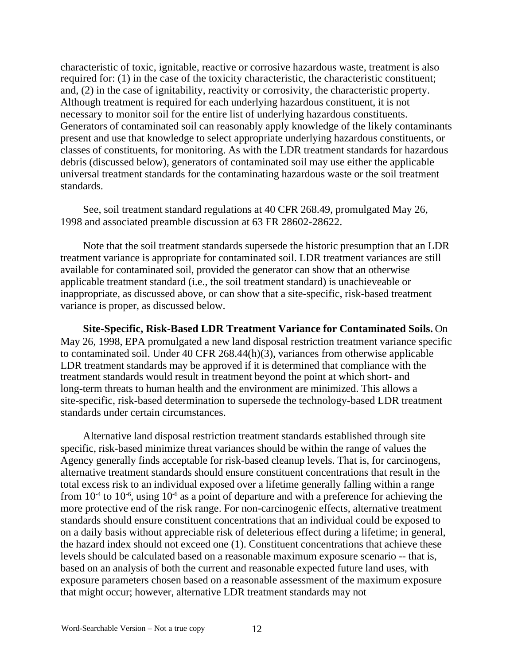characteristic of toxic, ignitable, reactive or corrosive hazardous waste, treatment is also required for: (1) in the case of the toxicity characteristic, the characteristic constituent; and, (2) in the case of ignitability, reactivity or corrosivity, the characteristic property. Although treatment is required for each underlying hazardous constituent, it is not necessary to monitor soil for the entire list of underlying hazardous constituents. Generators of contaminated soil can reasonably apply knowledge of the likely contaminants present and use that knowledge to select appropriate underlying hazardous constituents, or classes of constituents, for monitoring. As with the LDR treatment standards for hazardous debris (discussed below), generators of contaminated soil may use either the applicable universal treatment standards for the contaminating hazardous waste or the soil treatment standards.

See, soil treatment standard regulations at 40 CFR 268.49, promulgated May 26, 1998 and associated preamble discussion at 63 FR 28602-28622.

Note that the soil treatment standards supersede the historic presumption that an LDR treatment variance is appropriate for contaminated soil. LDR treatment variances are still available for contaminated soil, provided the generator can show that an otherwise applicable treatment standard (i.e., the soil treatment standard) is unachieveable or inappropriate, as discussed above, or can show that a site-specific, risk-based treatment variance is proper, as discussed below.

**Site-Specific, Risk-Based LDR Treatment Variance for Contaminated Soils.** On May 26, 1998, EPA promulgated a new land disposal restriction treatment variance specific to contaminated soil. Under 40 CFR 268.44(h)(3), variances from otherwise applicable LDR treatment standards may be approved if it is determined that compliance with the treatment standards would result in treatment beyond the point at which short- and long-term threats to human health and the environment are minimized. This allows a site-specific, risk-based determination to supersede the technology-based LDR treatment standards under certain circumstances.

Alternative land disposal restriction treatment standards established through site specific, risk-based minimize threat variances should be within the range of values the Agency generally finds acceptable for risk-based cleanup levels. That is, for carcinogens, alternative treatment standards should ensure constituent concentrations that result in the total excess risk to an individual exposed over a lifetime generally falling within a range from  $10^{-4}$  to  $10^{-6}$ , using  $10^{-6}$  as a point of departure and with a preference for achieving the more protective end of the risk range. For non-carcinogenic effects, alternative treatment standards should ensure constituent concentrations that an individual could be exposed to on a daily basis without appreciable risk of deleterious effect during a lifetime; in general, the hazard index should not exceed one (1). Constituent concentrations that achieve these levels should be calculated based on a reasonable maximum exposure scenario -- that is, based on an analysis of both the current and reasonable expected future land uses, with exposure parameters chosen based on a reasonable assessment of the maximum exposure that might occur; however, alternative LDR treatment standards may not